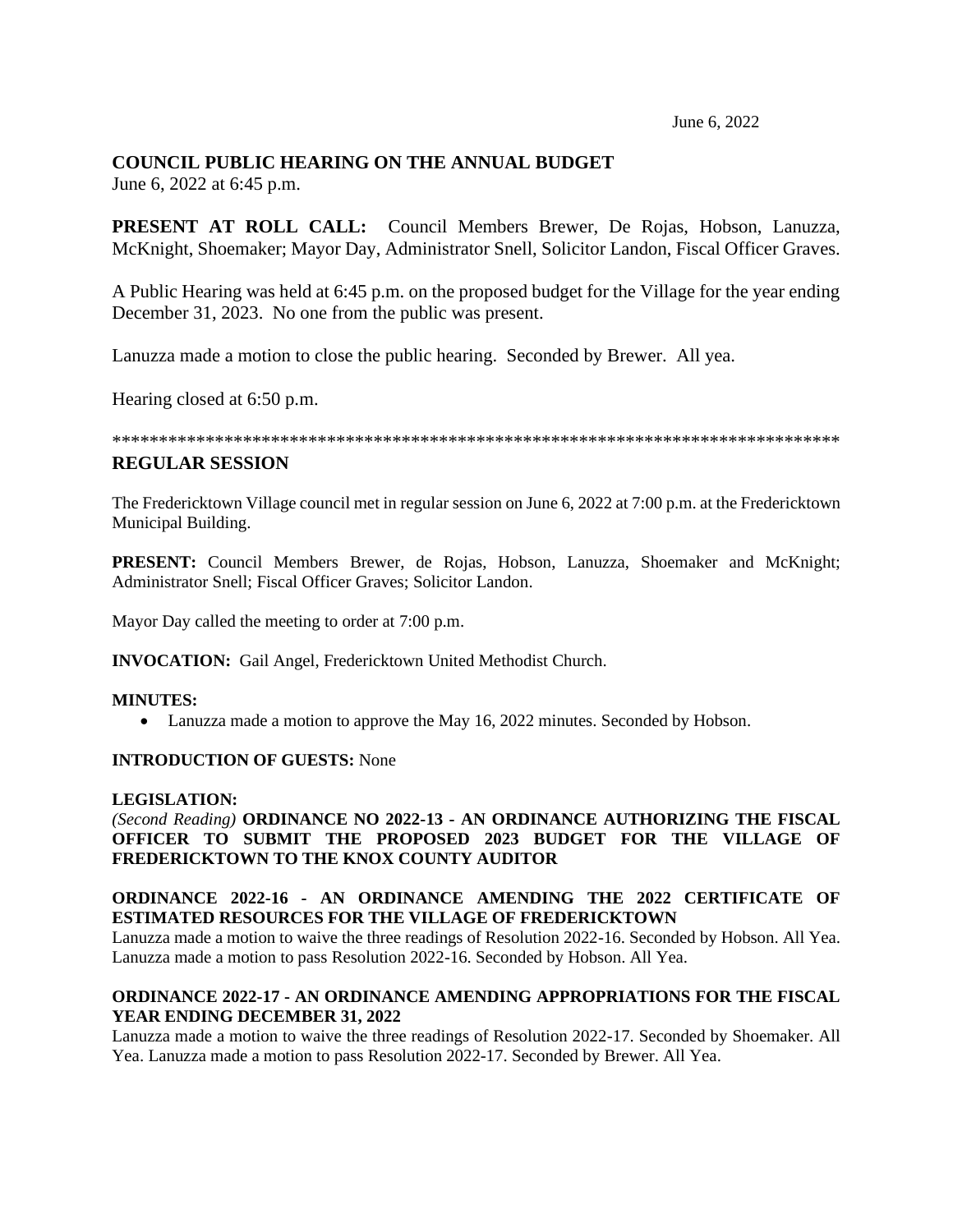June 6, 2022

# **COUNCIL PUBLIC HEARING ON THE ANNUAL BUDGET**

June 6, 2022 at 6:45 p.m.

**PRESENT AT ROLL CALL:** Council Members Brewer, De Rojas, Hobson, Lanuzza, McKnight, Shoemaker; Mayor Day, Administrator Snell, Solicitor Landon, Fiscal Officer Graves.

A Public Hearing was held at 6:45 p.m. on the proposed budget for the Village for the year ending December 31, 2023. No one from the public was present.

Lanuzza made a motion to close the public hearing. Seconded by Brewer. All yea.

Hearing closed at 6:50 p.m.

\*\*\*\*\*\*\*\*\*\*\*\*\*\*\*\*\*\*\*\*\*\*\*\*\*\*\*\*\*\*\*\*\*\*\*\*\*\*\*\*\*\*\*\*\*\*\*\*\*\*\*\*\*\*\*\*\*\*\*\*\*\*\*\*\*\*\*\*\*\*\*\*\*\*\*\*\*\*

## **REGULAR SESSION**

The Fredericktown Village council met in regular session on June 6, 2022 at 7:00 p.m. at the Fredericktown Municipal Building.

**PRESENT:** Council Members Brewer, de Rojas, Hobson, Lanuzza, Shoemaker and McKnight; Administrator Snell; Fiscal Officer Graves; Solicitor Landon.

Mayor Day called the meeting to order at 7:00 p.m.

**INVOCATION:** Gail Angel, Fredericktown United Methodist Church.

## **MINUTES:**

• Lanuzza made a motion to approve the May 16, 2022 minutes. Seconded by Hobson.

## **INTRODUCTION OF GUESTS:** None

#### **LEGISLATION:**

## *(Second Reading)* **ORDINANCE NO 2022-13 - AN ORDINANCE AUTHORIZING THE FISCAL OFFICER TO SUBMIT THE PROPOSED 2023 BUDGET FOR THE VILLAGE OF FREDERICKTOWN TO THE KNOX COUNTY AUDITOR**

## **ORDINANCE 2022-16 - AN ORDINANCE AMENDING THE 2022 CERTIFICATE OF ESTIMATED RESOURCES FOR THE VILLAGE OF FREDERICKTOWN**

Lanuzza made a motion to waive the three readings of Resolution 2022-16. Seconded by Hobson. All Yea. Lanuzza made a motion to pass Resolution 2022-16. Seconded by Hobson. All Yea.

## **ORDINANCE 2022-17 - AN ORDINANCE AMENDING APPROPRIATIONS FOR THE FISCAL YEAR ENDING DECEMBER 31, 2022**

Lanuzza made a motion to waive the three readings of Resolution 2022-17. Seconded by Shoemaker. All Yea. Lanuzza made a motion to pass Resolution 2022-17. Seconded by Brewer. All Yea.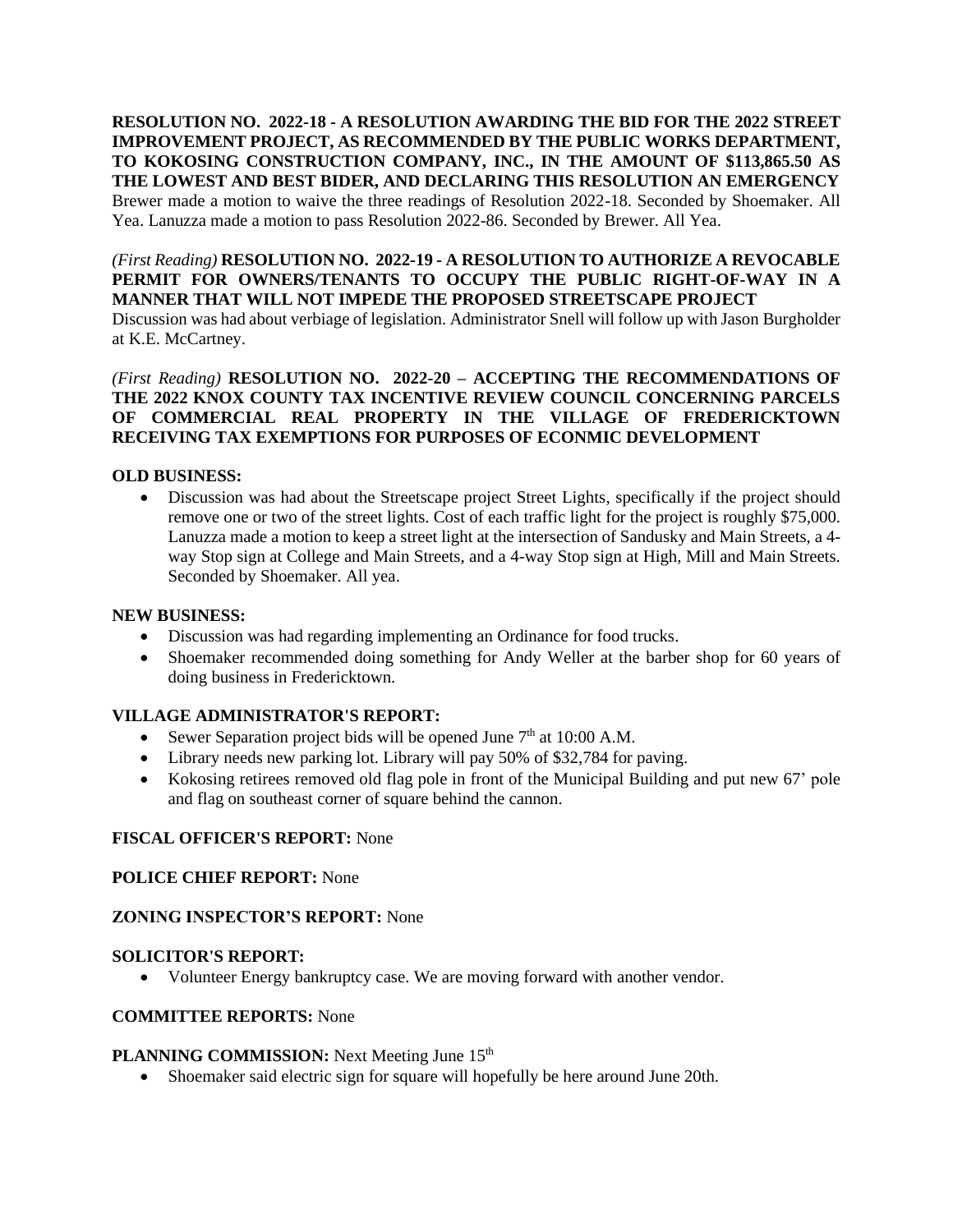**RESOLUTION NO. 2022-18 - A RESOLUTION AWARDING THE BID FOR THE 2022 STREET IMPROVEMENT PROJECT, AS RECOMMENDED BY THE PUBLIC WORKS DEPARTMENT, TO KOKOSING CONSTRUCTION COMPANY, INC., IN THE AMOUNT OF \$113,865.50 AS THE LOWEST AND BEST BIDER, AND DECLARING THIS RESOLUTION AN EMERGENCY**

Brewer made a motion to waive the three readings of Resolution 2022-18. Seconded by Shoemaker. All Yea. Lanuzza made a motion to pass Resolution 2022-86. Seconded by Brewer. All Yea.

*(First Reading)* **RESOLUTION NO. 2022-19 - A RESOLUTION TO AUTHORIZE A REVOCABLE PERMIT FOR OWNERS/TENANTS TO OCCUPY THE PUBLIC RIGHT-OF-WAY IN A MANNER THAT WILL NOT IMPEDE THE PROPOSED STREETSCAPE PROJECT** Discussion was had about verbiage of legislation. Administrator Snell will follow up with Jason Burgholder at K.E. McCartney.

*(First Reading)* **RESOLUTION NO. 2022-20 – ACCEPTING THE RECOMMENDATIONS OF THE 2022 KNOX COUNTY TAX INCENTIVE REVIEW COUNCIL CONCERNING PARCELS OF COMMERCIAL REAL PROPERTY IN THE VILLAGE OF FREDERICKTOWN RECEIVING TAX EXEMPTIONS FOR PURPOSES OF ECONMIC DEVELOPMENT**

## **OLD BUSINESS:**

• Discussion was had about the Streetscape project Street Lights, specifically if the project should remove one or two of the street lights. Cost of each traffic light for the project is roughly \$75,000. Lanuzza made a motion to keep a street light at the intersection of Sandusky and Main Streets, a 4 way Stop sign at College and Main Streets, and a 4-way Stop sign at High, Mill and Main Streets. Seconded by Shoemaker. All yea.

#### **NEW BUSINESS:**

- Discussion was had regarding implementing an Ordinance for food trucks.
- Shoemaker recommended doing something for Andy Weller at the barber shop for 60 years of doing business in Fredericktown.

## **VILLAGE ADMINISTRATOR'S REPORT:**

- Sewer Separation project bids will be opened June  $7<sup>th</sup>$  at 10:00 A.M.
- Library needs new parking lot. Library will pay 50% of \$32,784 for paving.
- Kokosing retirees removed old flag pole in front of the Municipal Building and put new 67' pole and flag on southeast corner of square behind the cannon.

## **FISCAL OFFICER'S REPORT:** None

#### **POLICE CHIEF REPORT:** None

#### **ZONING INSPECTOR'S REPORT:** None

#### **SOLICITOR'S REPORT:**

• Volunteer Energy bankruptcy case. We are moving forward with another vendor.

#### **COMMITTEE REPORTS:** None

#### **PLANNING COMMISSION:** Next Meeting June 15<sup>th</sup>

• Shoemaker said electric sign for square will hopefully be here around June 20th.